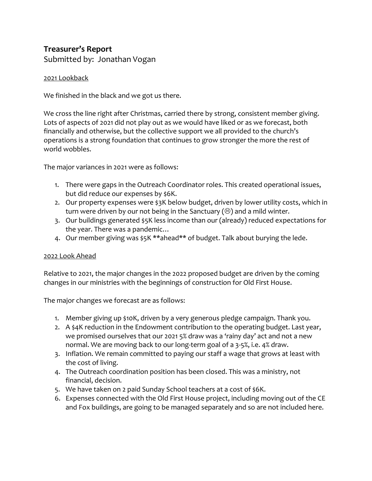## **Treasurer's Report**

Submitted by: Jonathan Vogan

## 2021 Lookback

We finished in the black and we got us there.

We cross the line right after Christmas, carried there by strong, consistent member giving. Lots of aspects of 2021 did not play out as we would have liked or as we forecast, both financially and otherwise, but the collective support we all provided to the church's operations is a strong foundation that continues to grow stronger the more the rest of world wobbles.

The major variances in 2021 were as follows:

- 1. There were gaps in the Outreach Coordinator roles. This created operational issues, but did reduce our expenses by \$6K.
- 2. Our property expenses were \$3K below budget, driven by lower utility costs, which in turn were driven by our not being in the Sanctuary ( $\circledcirc$ ) and a mild winter.
- 3. Our buildings generated \$5K less income than our (already) reduced expectations for the year. There was a pandemic…
- 4. Our member giving was \$5K \*\*ahead\*\* of budget. Talk about burying the lede.

## 2022 Look Ahead

Relative to 2021, the major changes in the 2022 proposed budget are driven by the coming changes in our ministries with the beginnings of construction for Old First House.

The major changes we forecast are as follows:

- 1. Member giving up \$10K, driven by a very generous pledge campaign. Thank you.
- 2. A \$4K reduction in the Endowment contribution to the operating budget. Last year, we promised ourselves that our 2021 5% draw was a 'rainy day' act and not a new normal. We are moving back to our long-term goal of a 3-5%, i.e. 4% draw.
- 3. Inflation. We remain committed to paying our staff a wage that grows at least with the cost of living.
- 4. The Outreach coordination position has been closed. This was a ministry, not financial, decision.
- 5. We have taken on 2 paid Sunday School teachers at a cost of \$6K.
- 6. Expenses connected with the Old First House project, including moving out of the CE and Fox buildings, are going to be managed separately and so are not included here.